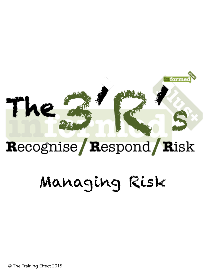## The

formed

#### Recognise Respond Risk

#### Managing Risk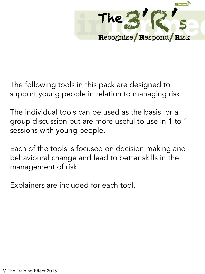

The following tools in this pack are designed to support young people in relation to managing risk.

The individual tools can be used as the basis for a group discussion but are more useful to use in 1 to 1 sessions with young people.

Each of the tools is focused on decision making and behavioural change and lead to better skills in the management of risk.

Explainers are included for each tool.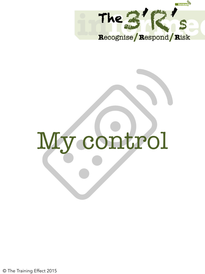

# My control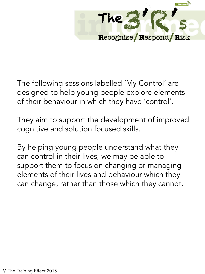

The following sessions labelled 'My Control' are designed to help young people explore elements of their behaviour in which they have 'control'.

They aim to support the development of improved cognitive and solution focused skills.

By helping young people understand what they can control in their lives, we may be able to support them to focus on changing or managing elements of their lives and behaviour which they can change, rather than those which they cannot.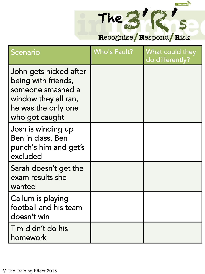#### Recognise / Respond / Risk

formed

| Scenario                                                                                                                            | <b>Who's Fault?</b> | What could they<br>do differently? |
|-------------------------------------------------------------------------------------------------------------------------------------|---------------------|------------------------------------|
| John gets nicked after<br>being with friends,<br>someone smashed a<br>window they all ran,<br>he was the only one<br>who got caught |                     |                                    |
| Josh is winding up<br>Ben in class. Ben<br>punch's him and get's<br>excluded                                                        |                     |                                    |
| Sarah doesn't get the<br>exam results she<br>wanted                                                                                 |                     |                                    |
| Callum is playing<br>football and his team<br>doesn't win                                                                           |                     |                                    |
| Tim didn't do his<br>homework                                                                                                       |                     |                                    |

The ?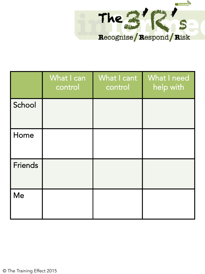

|                | What I can<br>control | What I cant<br>control | What I need<br>help with |
|----------------|-----------------------|------------------------|--------------------------|
| School         |                       |                        |                          |
| Home           |                       |                        |                          |
| <b>Friends</b> |                       |                        |                          |
| Me             |                       |                        |                          |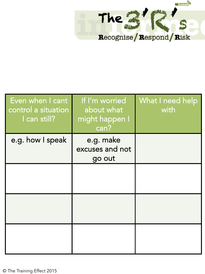

| Even when I cant<br>control a situation<br>I can still? | If I'm worried<br>about what<br>might happen I<br>can? | <b>What I need help</b><br>with |
|---------------------------------------------------------|--------------------------------------------------------|---------------------------------|
| e.g. how I speak                                        | e.g. make<br>excuses and not<br>go out                 |                                 |
|                                                         |                                                        |                                 |
|                                                         |                                                        |                                 |
|                                                         |                                                        |                                 |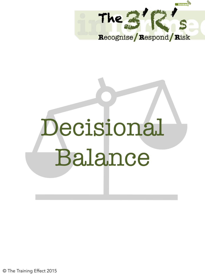

### Decisional Balance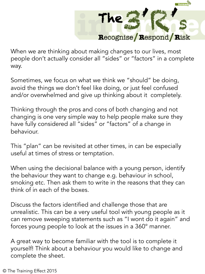

When we are thinking about making changes to our lives, most people don't actually consider all "sides" or "factors" in a complete way.

Sometimes, we focus on what we think we "should" be doing, avoid the things we don't feel like doing, or just feel confused and/or overwhelmed and give up thinking about it completely.

Thinking through the pros and cons of both changing and not changing is one very simple way to help people make sure they have fully considered all "sides" or "factors" of a change in behaviour.

This "plan" can be revisited at other times, in can be especially useful at times of stress or temptation.

When using the decisional balance with a young person, identify the behaviour they want to change e.g. behaviour in school, smoking etc. Then ask them to write in the reasons that they can think of in each of the boxes.

Discuss the factors identified and challenge those that are unrealistic. This can be a very useful tool with young people as it can remove sweeping statements such as "I wont do it again" and forces young people to look at the issues in a 360° manner.

A great way to become familiar with the tool is to complete it yourself! Think about a behaviour you would like to change and complete the sheet.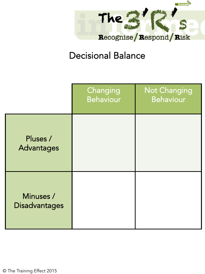

#### Decisional Balance

|                                   | Changing<br><b>Behaviour</b> | <b>Not Changing</b><br><b>Behaviour</b> |
|-----------------------------------|------------------------------|-----------------------------------------|
| Pluses /<br>Advantages            |                              |                                         |
| Minuses /<br><b>Disadvantages</b> |                              |                                         |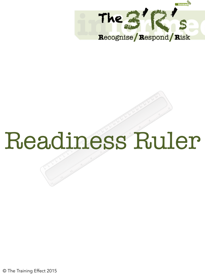

#### Readiness Ruler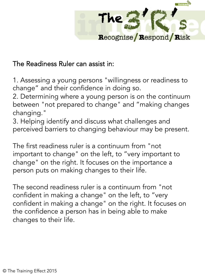

#### The Readiness Ruler can assist in:

1. Assessing a young persons "willingness or readiness to change" and their confidence in doing so.

2. Determining where a young person is on the continuum between "not prepared to change" and "making changes changing."

3. Helping identify and discuss what challenges and perceived barriers to changing behaviour may be present.

The first readiness ruler is a continuum from "not important to change" on the left, to "very important to change" on the right. It focuses on the importance a person puts on making changes to their life.

The second readiness ruler is a continuum from "not confident in making a change" on the left, to "very confident in making a change" on the right. It focuses on the confidence a person has in being able to make changes to their life.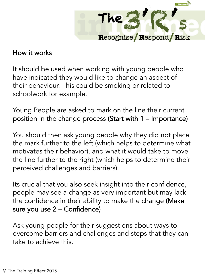

#### How it works

It should be used when working with young people who have indicated they would like to change an aspect of their behaviour. This could be smoking or related to schoolwork for example.

Young People are asked to mark on the line their current position in the change process (Start with 1 – Importance)

You should then ask young people why they did not place the mark further to the left (which helps to determine what motivates their behavior), and what it would take to move the line further to the right (which helps to determine their perceived challenges and barriers).

Its crucial that you also seek insight into their confidence, people may see a change as very important but may lack the confidence in their ability to make the change (Make sure you use 2 – Confidence)

Ask young people for their suggestions about ways to overcome barriers and challenges and steps that they can take to achieve this.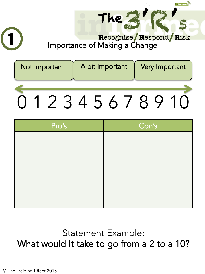

**The** 

 $\begin{array}{c}\n\hline\n\text{formed}\n\end{array}$ 

| Not Important | A bit Important | Very Important |
|---------------|-----------------|----------------|
|               |                 |                |
|               | 23456/8         |                |

| Con's |
|-------|
|       |
|       |
|       |
|       |
|       |
|       |
|       |

#### Statement Example: What would It take to go from a 2 to a 10?

© The Training Effect 2015

1